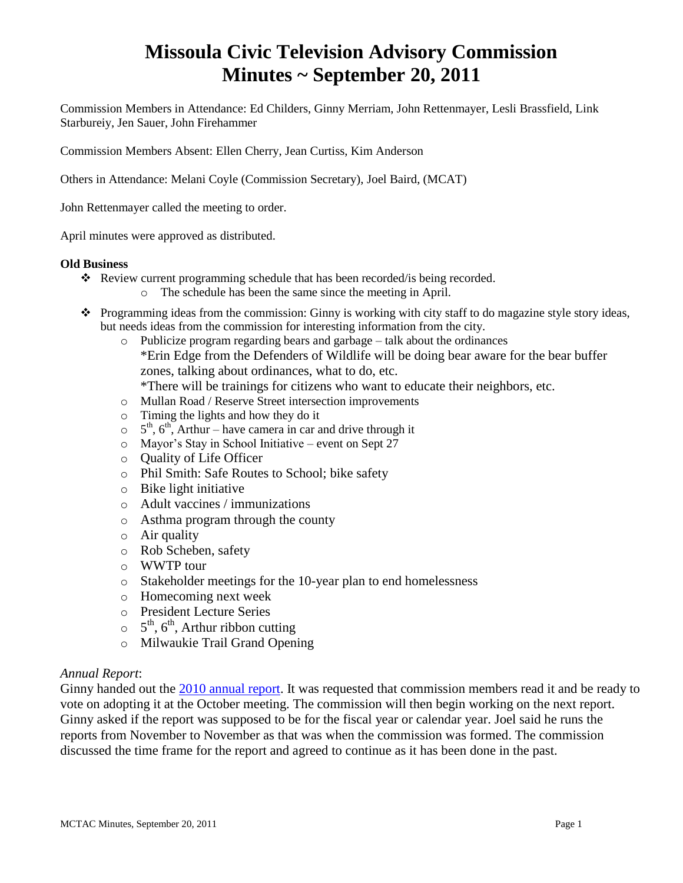# **Missoula Civic Television Advisory Commission Minutes ~ September 20, 2011**

Commission Members in Attendance: Ed Childers, Ginny Merriam, John Rettenmayer, Lesli Brassfield, Link Starbureiy, Jen Sauer, John Firehammer

Commission Members Absent: Ellen Cherry, Jean Curtiss, Kim Anderson

Others in Attendance: Melani Coyle (Commission Secretary), Joel Baird, (MCAT)

John Rettenmayer called the meeting to order.

April minutes were approved as distributed.

#### **Old Business**

- \* Review current programming schedule that has been recorded/is being recorded.
	- o The schedule has been the same since the meeting in April.
- \* Programming ideas from the commission: Ginny is working with city staff to do magazine style story ideas, but needs ideas from the commission for interesting information from the city.
	- o Publicize program regarding bears and garbage talk about the ordinances \*Erin Edge from the Defenders of Wildlife will be doing bear aware for the bear buffer zones, talking about ordinances, what to do, etc. \*There will be trainings for citizens who want to educate their neighbors, etc.
	- o Mullan Road / Reserve Street intersection improvements
	- o Timing the lights and how they do it
	- $5^{\text{th}}$ ,  $6^{\text{th}}$ , Arthur have camera in car and drive through it
	- o Mayor's Stay in School Initiative event on Sept 27
	- o Quality of Life Officer
	- o Phil Smith: Safe Routes to School; bike safety
	- o Bike light initiative
	- o Adult vaccines / immunizations
	- o Asthma program through the county
	- o Air quality
	- o Rob Scheben, safety
	- o WWTP tour
	- o Stakeholder meetings for the 10-year plan to end homelessness
	- o Homecoming next week
	- o President Lecture Series
	- $5^{\text{th}}$ , 6<sup>th</sup>, Arthur ribbon cutting
	- o Milwaukie Trail Grand Opening

## *Annual Report*:

Ginny handed out the [2010 annual report.](ftp://ftp.ci.missoula.mt.us/Documents/Mayor/GCCAC/2011/Final MCTAC Report 2010.pdf) It was requested that commission members read it and be ready to vote on adopting it at the October meeting. The commission will then begin working on the next report. Ginny asked if the report was supposed to be for the fiscal year or calendar year. Joel said he runs the reports from November to November as that was when the commission was formed. The commission discussed the time frame for the report and agreed to continue as it has been done in the past.